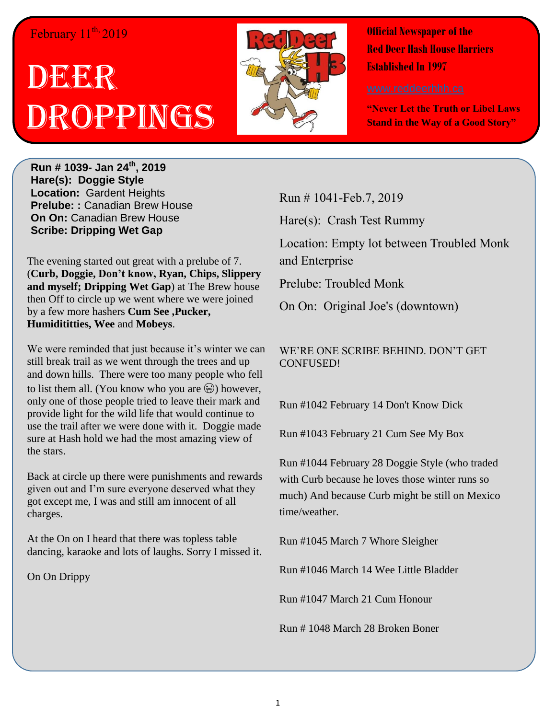## February 11<sup>th,</sup> 2019

## DECKR Droppings



**Official Newspaper of the Red Deer Hash House Harriers Established In 1997** 

**"Never Let the Truth or Libel Laws Stand in the Way of a Good Story"**

**Run # 1039- Jan 24th, 2019 Hare(s): Doggie Style Location:** Gardent Heights **Prelube: :** Canadian Brew House **On On:** Canadian Brew House **Scribe: Dripping Wet Gap**

The evening started out great with a prelube of 7. (**Curb, Doggie, Don't know, Ryan, Chips, Slippery and myself; Dripping Wet Gap**) at The Brew house then Off to circle up we went where we were joined by a few more hashers **Cum See ,Pucker, Humidititties, Wee** and **Mobeys**.

We were reminded that just because it's winter we can still break trail as we went through the trees and up and down hills. There were too many people who fell to list them all. (You know who you are  $\circledast$ ) however, only one of those people tried to leave their mark and provide light for the wild life that would continue to use the trail after we were done with it. Doggie made sure at Hash hold we had the most amazing view of the stars.

Back at circle up there were punishments and rewards given out and I'm sure everyone deserved what they got except me, I was and still am innocent of all charges.

At the On on I heard that there was topless table dancing, karaoke and lots of laughs. Sorry I missed it.

On On Drippy

Run # 1041-Feb.7, 2019

Hare(s): Crash Test Rummy

Location: Empty lot between Troubled Monk and Enterprise

Prelube: Troubled Monk

On On: Original Joe's (downtown)

## WE'RE ONE SCRIBE BEHIND. DON'T GET CONFUSED!

Run #1042 February 14 Don't Know Dick

Run #1043 February 21 Cum See My Box

Run #1044 February 28 Doggie Style (who traded with Curb because he loves those winter runs so much) And because Curb might be still on Mexico time/weather.

Run #1045 March 7 Whore Sleigher

Run #1046 March 14 Wee Little Bladder

Run #1047 March 21 Cum Honour

Run # 1048 March 28 Broken Boner